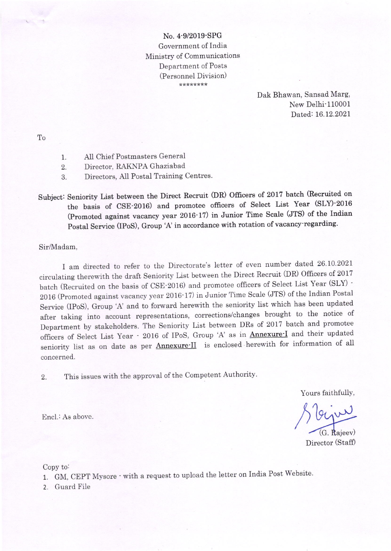No. 4-912019-SPG Government of India Ministry of Communications Department of Posts (Personnel Division) \*\*\*\*\*\*\*\*

> Dak Bhawan, Sansad Marg, New Delhi<sup>-110001</sup> Dated: 16.12.2021

To

- 1. All Chief Postmasters General
- 2. Director, RAKNPA Ghaziabad
- 3. Directors, AII Postal Training Centres.

Subject: Seniority List between the Direct Recruit (DR) Officers of 2017 batch (Recruited on the basis of CSE-2016) and promotee officers of Select List Year (SLY)-2016 (Promoted against vacancy year  $2016·17$ ) in Junior Time Scale (JTS) of the Indian Postal Service (IPoS), Group 'A' in accordance with rotation of vacancy regarding.

Sir/Madam,

I am directed to refer to the Directorate's letter of even number dated 26.10'2021 circulating therewith the draft Seniority List between the Direct Recruit (DR) Officers of 2017 batch (Recruited on the basis of csE-2016) and promotee officers of Select List Year (SLY) - 2016 (Promoted against vacancy year 2016-17) in Junior Time Scale (JTS) of the Indian Postal Service (IPoS), Group 'A' and to forward herewith the seniority list which has been updated after taking into account representations, corrections/changes brought to the notice of Department by stakeholders. The Seniority List between DRs of 2017 batch and promotee officers of Select List Year - 2016 of IPoS, Group 'A' as in **Annexure**-I and their updated seniority list as on date as per Annexure-II is enclosed herewith for information of all concerned

2. This issues with the approval of the Competent Authority.

Yours faithfully,

G. Rajeev)

Director (Staff)

Copy to:

1. GM, CEPT Mysore · with a request to upload the letter on India Post Website.

2. Guard File

Encl.: As above